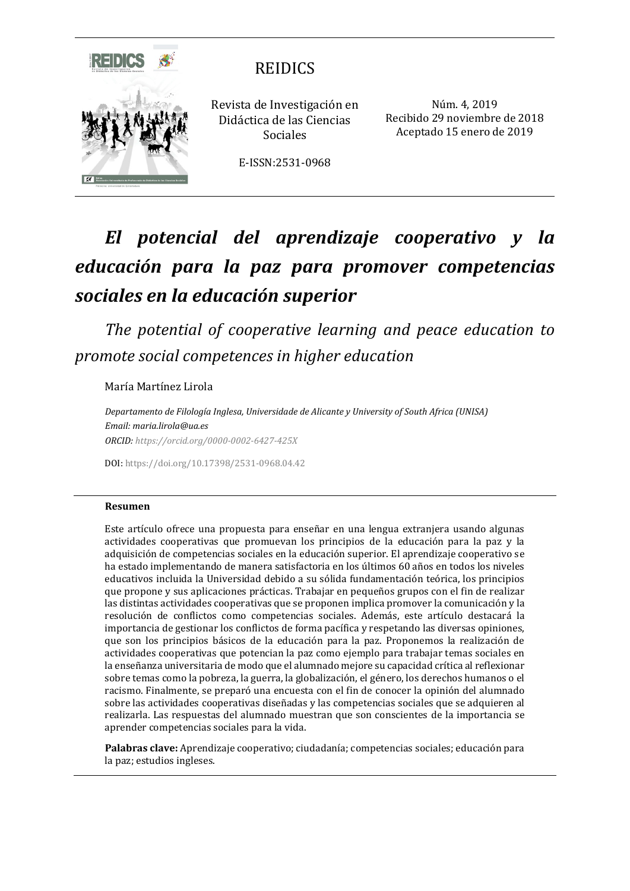

# REIDICS

Revista de Investigación en Didáctica de las Ciencias Sociales

Recibido 29 noviembre de 2018 Aceptado 15 enero de 2019

Núm. 4, 2019

E-ISSN:2531-0968

# *El potencial del aprendizaje cooperativo y la educación para la paz para promover competencias sociales en la educación superior*

*The potential of cooperative learning and peace education to promote social competences in higher education*

María Martínez Lirola

*Departamento de Filología Inglesa, Universidade de Alicante y University of South Africa (UNISA) Email: maria.lirola@ua.es ORCID:<https://orcid.org/0000-0002-6427-425X>*

DOI: <https://doi.org/10.17398/2531-0968.04.42>

#### **Resumen**

Este artículo ofrece una propuesta para enseñar en una lengua extranjera usando algunas actividades cooperativas que promuevan los principios de la educación para la paz y la adquisición de competencias sociales en la educación superior. El aprendizaje cooperativo se ha estado implementando de manera satisfactoria en los últimos 60 años en todos los niveles educativos incluida la Universidad debido a su sólida fundamentación teórica, los principios que propone y sus aplicaciones prácticas. Trabajar en pequeños grupos con el fin de realizar las distintas actividades cooperativas que se proponen implica promover la comunicación y la resolución de conflictos como competencias sociales. Además, este artículo destacará la importancia de gestionar los conflictos de forma pacífica y respetando las diversas opiniones, que son los principios básicos de la educación para la paz. Proponemos la realización de actividades cooperativas que potencian la paz como ejemplo para trabajar temas sociales en la enseñanza universitaria de modo que el alumnado mejore su capacidad crítica al reflexionar sobre temas como la pobreza, la guerra, la globalización, el género, los derechos humanos o el racismo. Finalmente, se preparó una encuesta con el fin de conocer la opinión del alumnado sobre las actividades cooperativas diseñadas y las competencias sociales que se adquieren al realizarla. Las respuestas del alumnado muestran que son conscientes de la importancia se aprender competencias sociales para la vida.

**Palabras clave:** Aprendizaje cooperativo; ciudadanía; competencias sociales; educación para la paz; estudios ingleses.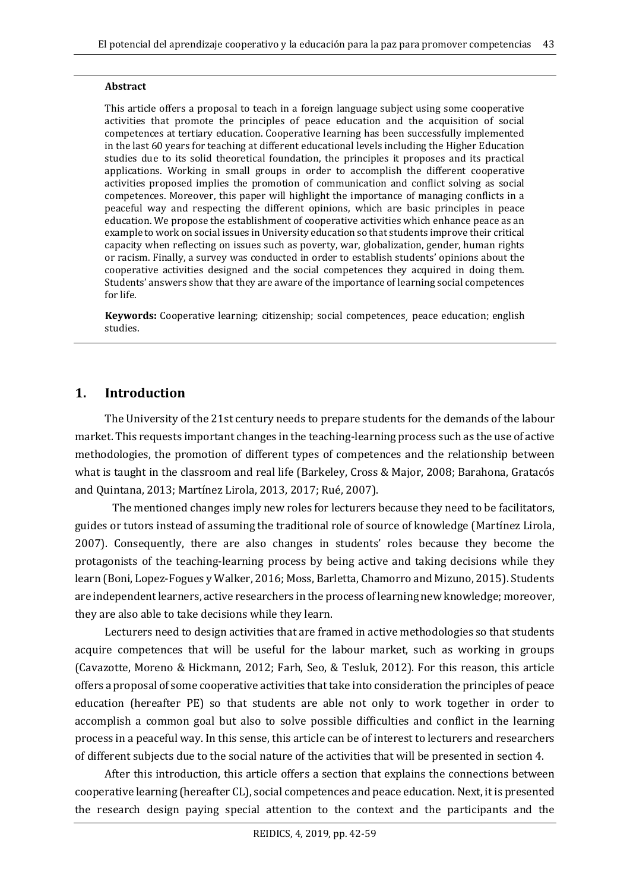#### **Abstract**

This article offers a proposal to teach in a foreign language subject using some cooperative activities that promote the principles of peace education and the acquisition of social competences at tertiary education. Cooperative learning has been successfully implemented in the last 60 years for teaching at different educational levels including the Higher Education studies due to its solid theoretical foundation, the principles it proposes and its practical applications. Working in small groups in order to accomplish the different cooperative activities proposed implies the promotion of communication and conflict solving as social competences. Moreover, this paper will highlight the importance of managing conflicts in a peaceful way and respecting the different opinions, which are basic principles in peace education. We propose the establishment of cooperative activities which enhance peace as an example to work on social issues in University education so that students improve their critical capacity when reflecting on issues such as poverty, war, globalization, gender, human rights or racism. Finally, a survey was conducted in order to establish students' opinions about the cooperative activities designed and the social competences they acquired in doing them. Students' answers show that they are aware of the importance of learning social competences for life.

**Keywords:** Cooperative learning; citizenship; social competences¸ peace education; english studies.

#### **1. Introduction**

The University of the 21st century needs to prepare students for the demands of the labour market. This requests important changes in the teaching-learning process such as the use of active methodologies, the promotion of different types of competences and the relationship between what is taught in the classroom and real life (Barkeley, Cross & Major, 2008; Barahona, Gratacós and Quintana, 2013; Martínez Lirola, 2013, 2017; Rué, 2007).

The mentioned changes imply new roles for lecturers because they need to be facilitators, guides or tutors instead of assuming the traditional role of source of knowledge (Martínez Lirola, 2007). Consequently, there are also changes in students' roles because they become the protagonists of the teaching-learning process by being active and taking decisions while they learn (Boni, Lopez-Fogues y Walker, 2016; Moss, Barletta, Chamorro and Mizuno, 2015). Students are independent learners, active researchers in the process of learning new knowledge; moreover, they are also able to take decisions while they learn.

Lecturers need to design activities that are framed in active methodologies so that students acquire competences that will be useful for the labour market, such as working in groups (Cavazotte, Moreno & Hickmann, 2012; Farh, Seo, & Tesluk, 2012). For this reason, this article offers a proposal of some cooperative activities that take into consideration the principles of peace education (hereafter PE) so that students are able not only to work together in order to accomplish a common goal but also to solve possible difficulties and conflict in the learning process in a peaceful way. In this sense, this article can be of interest to lecturers and researchers of different subjects due to the social nature of the activities that will be presented in section 4.

After this introduction, this article offers a section that explains the connections between cooperative learning (hereafter CL), social competences and peace education. Next, it is presented the research design paying special attention to the context and the participants and the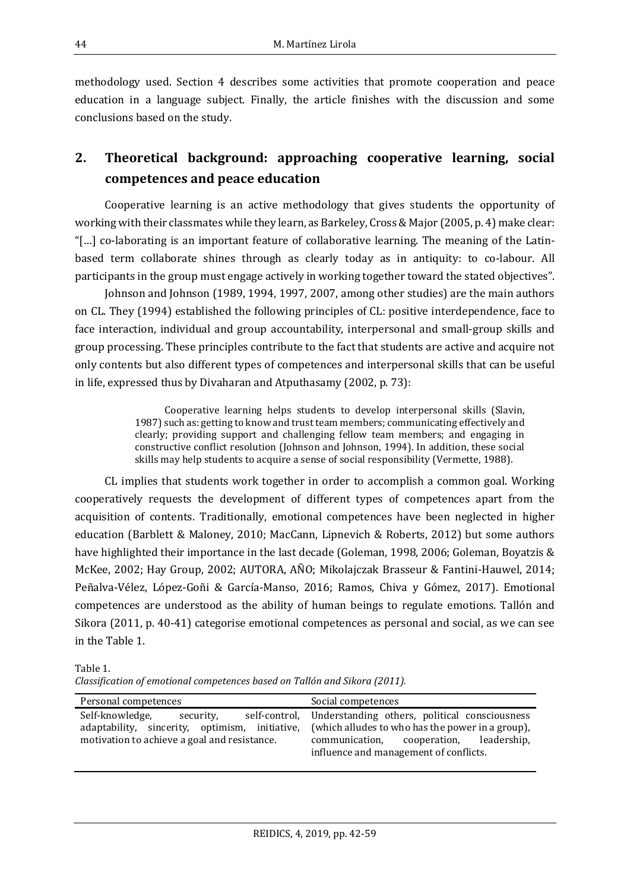methodology used. Section 4 describes some activities that promote cooperation and peace education in a language subject. Finally, the article finishes with the discussion and some conclusions based on the study.

# **2. Theoretical background: approaching cooperative learning, social competences and peace education**

Cooperative learning is an active methodology that gives students the opportunity of working with their classmates while they learn, as Barkeley, Cross & Major (2005, p. 4) make clear: "[…] co-laborating is an important feature of collaborative learning. The meaning of the Latinbased term collaborate shines through as clearly today as in antiquity: to co-labour. All participants in the group must engage actively in working together toward the stated objectives".

Johnson and Johnson (1989, 1994, 1997, 2007, among other studies) are the main authors on CL. They (1994) established the following principles of CL: positive interdependence, face to face interaction, individual and group accountability, interpersonal and small-group skills and group processing. These principles contribute to the fact that students are active and acquire not only contents but also different types of competences and interpersonal skills that can be useful in life, expressed thus by Divaharan and Atputhasamy (2002, p. 73):

> Cooperative learning helps students to develop interpersonal skills (Slavin, 1987) such as: getting to know and trust team members; communicating effectively and clearly; providing support and challenging fellow team members; and engaging in constructive conflict resolution (Johnson and Johnson, 1994). In addition, these social skills may help students to acquire a sense of social responsibility (Vermette, 1988).

CL implies that students work together in order to accomplish a common goal. Working cooperatively requests the development of different types of competences apart from the acquisition of contents. Traditionally, emotional competences have been neglected in higher education (Barblett & Maloney, 2010; MacCann, Lipnevich & Roberts, 2012) but some authors have highlighted their importance in the last decade (Goleman, 1998, 2006; Goleman, Boyatzis & McKee, 2002; Hay Group, 2002; AUTORA, AÑO; Mikolajczak Brasseur & Fantini-Hauwel, 2014; Peñalva-Vélez, López-Goñi & García-Manso, 2016; Ramos, Chiva y Gómez, 2017). Emotional competences are understood as the ability of human beings to regulate emotions. Tallón and Sikora (2011, p. 40-41) categorise emotional competences as personal and social, as we can see in the Table 1.

Table 1. *Classification of emotional competences based on Tallón and Sikora (2011).*

| Personal competences                           | Social competences                                          |
|------------------------------------------------|-------------------------------------------------------------|
| Self-knowledge,                                | self-control, Understanding others, political consciousness |
| security,                                      | (which alludes to who has the power in a group),            |
| adaptability, sincerity, optimism, initiative, | communication, cooperation, leadership,                     |
| motivation to achieve a goal and resistance.   | influence and management of conflicts.                      |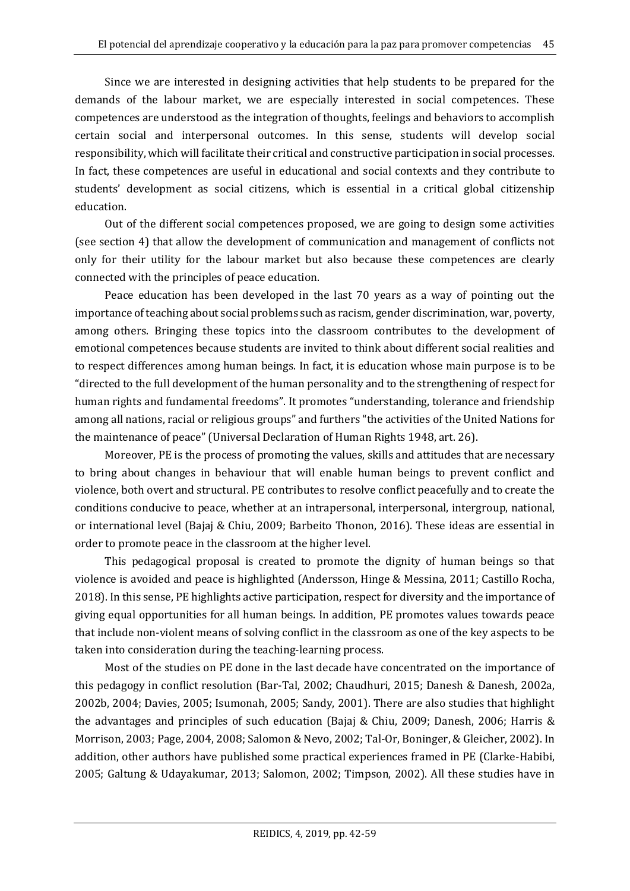Since we are interested in designing activities that help students to be prepared for the demands of the labour market, we are especially interested in social competences. These competences are understood as the integration of thoughts, feelings and behaviors to accomplish certain social and interpersonal outcomes. In this sense, students will develop social responsibility, which will facilitate their critical and constructive participation in social processes. In fact, these competences are useful in educational and social contexts and they contribute to students' development as social citizens, which is essential in a critical global citizenship education.

Out of the different social competences proposed, we are going to design some activities (see section 4) that allow the development of communication and management of conflicts not only for their utility for the labour market but also because these competences are clearly connected with the principles of peace education.

Peace education has been developed in the last 70 years as a way of pointing out the importance of teaching about social problems such as racism, gender discrimination, war, poverty, among others. Bringing these topics into the classroom contributes to the development of emotional competences because students are invited to think about different social realities and to respect differences among human beings. In fact, it is education whose main purpose is to be "directed to the full development of the human personality and to the strengthening of respect for human rights and fundamental freedoms". It promotes "understanding, tolerance and friendship among all nations, racial or religious groups" and furthers "the activities of the United Nations for the maintenance of peace" (Universal Declaration of Human Rights 1948, art. 26).

Moreover, PE is the process of promoting the values, skills and attitudes that are necessary to bring about changes in behaviour that will enable human beings to prevent conflict and violence, both overt and structural. PE contributes to resolve conflict peacefully and to create the conditions conducive to peace, whether at an intrapersonal, interpersonal, intergroup, national, or international level (Bajaj & Chiu, 2009; Barbeito Thonon, 2016). These ideas are essential in order to promote peace in the classroom at the higher level.

This pedagogical proposal is created to promote the dignity of human beings so that violence is avoided and peace is highlighted (Andersson, Hinge & Messina, 2011; Castillo Rocha, 2018). In this sense, PE highlights active participation, respect for diversity and the importance of giving equal opportunities for all human beings. In addition, PE promotes values towards peace that include non-violent means of solving conflict in the classroom as one of the key aspects to be taken into consideration during the teaching-learning process.

Most of the studies on PE done in the last decade have concentrated on the importance of this pedagogy in conflict resolution (Bar-Tal, 2002; Chaudhuri, 2015; Danesh & Danesh, 2002a, 2002b, 2004; Davies, 2005; Isumonah, 2005; Sandy, 2001). There are also studies that highlight the advantages and principles of such education (Bajaj & Chiu, 2009; Danesh, 2006; Harris & Morrison, 2003; Page, 2004, 2008; Salomon & Nevo, 2002; Tal-Or, Boninger, & Gleicher, 2002). In addition, other authors have published some practical experiences framed in PE (Clarke-Habibi, 2005; Galtung & Udayakumar, 2013; Salomon, 2002; Timpson, 2002). All these studies have in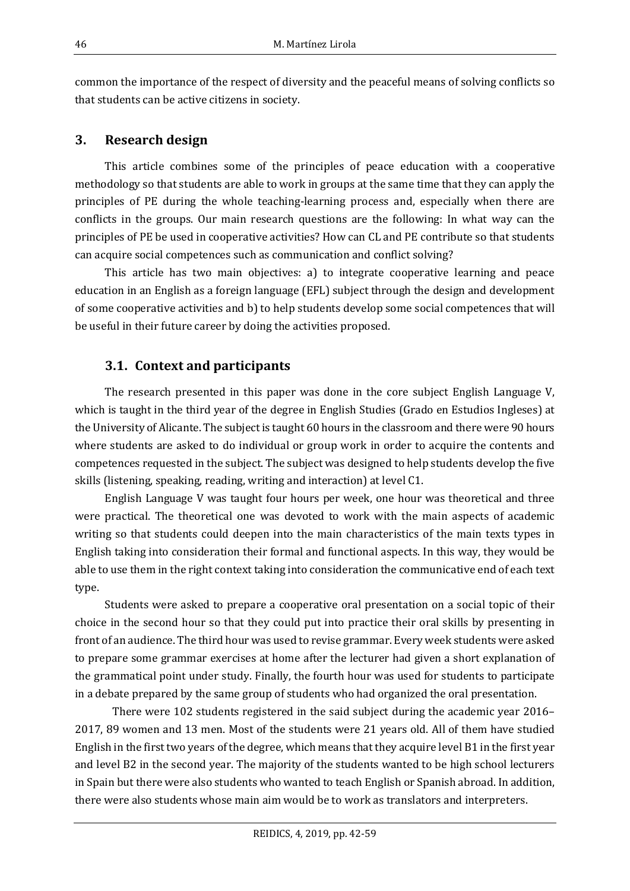common the importance of the respect of diversity and the peaceful means of solving conflicts so that students can be active citizens in society.

#### **3. Research design**

This article combines some of the principles of peace education with a cooperative methodology so that students are able to work in groups at the same time that they can apply the principles of PE during the whole teaching-learning process and, especially when there are conflicts in the groups. Our main research questions are the following: In what way can the principles of PE be used in cooperative activities? How can CL and PE contribute so that students can acquire social competences such as communication and conflict solving?

This article has two main objectives: a) to integrate cooperative learning and peace education in an English as a foreign language (EFL) subject through the design and development of some cooperative activities and b) to help students develop some social competences that will be useful in their future career by doing the activities proposed.

### **3.1. Context and participants**

The research presented in this paper was done in the core subject English Language V, which is taught in the third year of the degree in English Studies (Grado en Estudios Ingleses) at the University of Alicante. The subject is taught 60 hours in the classroom and there were 90 hours where students are asked to do individual or group work in order to acquire the contents and competences requested in the subject. The subject was designed to help students develop the five skills (listening, speaking, reading, writing and interaction) at level C1.

English Language V was taught four hours per week, one hour was theoretical and three were practical. The theoretical one was devoted to work with the main aspects of academic writing so that students could deepen into the main characteristics of the main texts types in English taking into consideration their formal and functional aspects. In this way, they would be able to use them in the right context taking into consideration the communicative end of each text type.

Students were asked to prepare a cooperative oral presentation on a social topic of their choice in the second hour so that they could put into practice their oral skills by presenting in front of an audience. The third hour was used to revise grammar. Every week students were asked to prepare some grammar exercises at home after the lecturer had given a short explanation of the grammatical point under study. Finally, the fourth hour was used for students to participate in a debate prepared by the same group of students who had organized the oral presentation.

There were 102 students registered in the said subject during the academic year 2016– 2017, 89 women and 13 men. Most of the students were 21 years old. All of them have studied English in the first two years of the degree, which means that they acquire level B1 in the first year and level B2 in the second year. The majority of the students wanted to be high school lecturers in Spain but there were also students who wanted to teach English or Spanish abroad. In addition, there were also students whose main aim would be to work as translators and interpreters.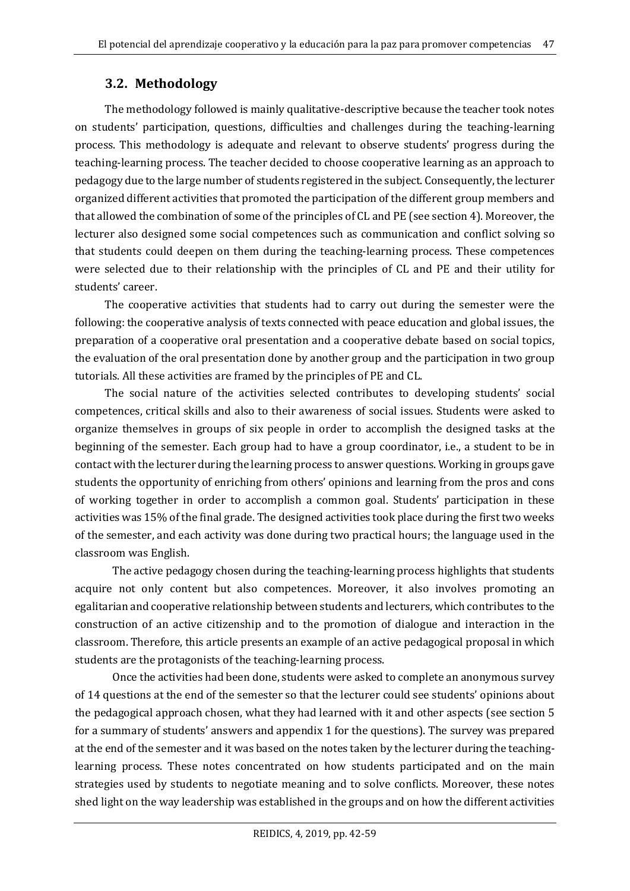## **3.2. Methodology**

The methodology followed is mainly qualitative-descriptive because the teacher took notes on students' participation, questions, difficulties and challenges during the teaching-learning process. This methodology is adequate and relevant to observe students' progress during the teaching-learning process. The teacher decided to choose cooperative learning as an approach to pedagogy due to the large number of students registered in the subject. Consequently, the lecturer organized different activities that promoted the participation of the different group members and that allowed the combination of some of the principles of CL and PE (see section 4). Moreover, the lecturer also designed some social competences such as communication and conflict solving so that students could deepen on them during the teaching-learning process. These competences were selected due to their relationship with the principles of CL and PE and their utility for students' career.

The cooperative activities that students had to carry out during the semester were the following: the cooperative analysis of texts connected with peace education and global issues, the preparation of a cooperative oral presentation and a cooperative debate based on social topics, the evaluation of the oral presentation done by another group and the participation in two group tutorials. All these activities are framed by the principles of PE and CL.

The social nature of the activities selected contributes to developing students' social competences, critical skills and also to their awareness of social issues. Students were asked to organize themselves in groups of six people in order to accomplish the designed tasks at the beginning of the semester. Each group had to have a group coordinator, i.e., a student to be in contact with the lecturer during the learning process to answer questions. Working in groups gave students the opportunity of enriching from others' opinions and learning from the pros and cons of working together in order to accomplish a common goal. Students' participation in these activities was 15% of the final grade. The designed activities took place during the first two weeks of the semester, and each activity was done during two practical hours; the language used in the classroom was English.

The active pedagogy chosen during the teaching-learning process highlights that students acquire not only content but also competences. Moreover, it also involves promoting an egalitarian and cooperative relationship between students and lecturers, which contributes to the construction of an active citizenship and to the promotion of dialogue and interaction in the classroom. Therefore, this article presents an example of an active pedagogical proposal in which students are the protagonists of the teaching-learning process.

Once the activities had been done, students were asked to complete an anonymous survey of 14 questions at the end of the semester so that the lecturer could see students' opinions about the pedagogical approach chosen, what they had learned with it and other aspects (see section 5 for a summary of students' answers and appendix 1 for the questions). The survey was prepared at the end of the semester and it was based on the notes taken by the lecturer during the teachinglearning process. These notes concentrated on how students participated and on the main strategies used by students to negotiate meaning and to solve conflicts. Moreover, these notes shed light on the way leadership was established in the groups and on how the different activities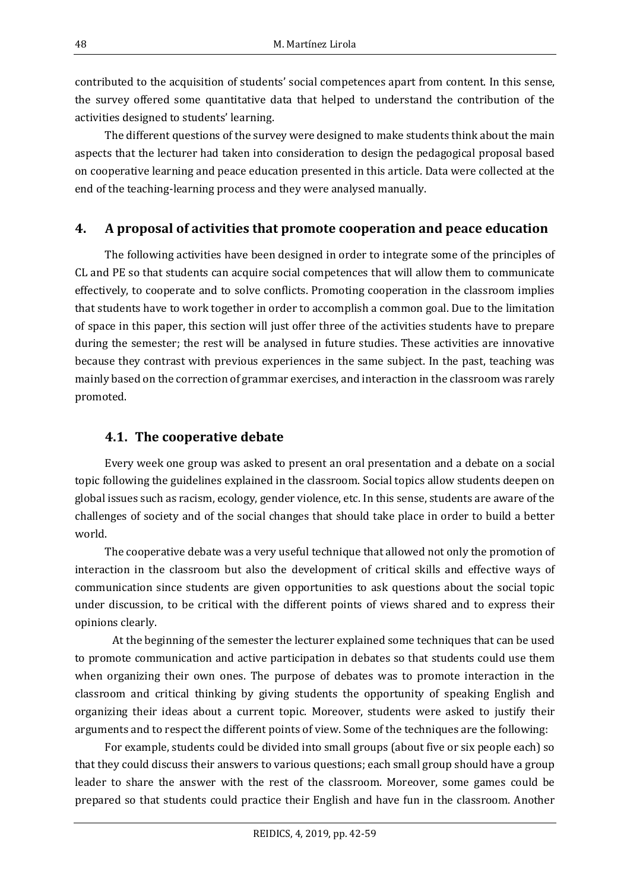contributed to the acquisition of students' social competences apart from content. In this sense, the survey offered some quantitative data that helped to understand the contribution of the activities designed to students' learning.

The different questions of the survey were designed to make students think about the main aspects that the lecturer had taken into consideration to design the pedagogical proposal based on cooperative learning and peace education presented in this article. Data were collected at the end of the teaching-learning process and they were analysed manually.

### **4. A proposal of activities that promote cooperation and peace education**

The following activities have been designed in order to integrate some of the principles of CL and PE so that students can acquire social competences that will allow them to communicate effectively, to cooperate and to solve conflicts. Promoting cooperation in the classroom implies that students have to work together in order to accomplish a common goal. Due to the limitation of space in this paper, this section will just offer three of the activities students have to prepare during the semester; the rest will be analysed in future studies. These activities are innovative because they contrast with previous experiences in the same subject. In the past, teaching was mainly based on the correction of grammar exercises, and interaction in the classroom was rarely promoted.

### **4.1. The cooperative debate**

Every week one group was asked to present an oral presentation and a debate on a social topic following the guidelines explained in the classroom. Social topics allow students deepen on global issues such as racism, ecology, gender violence, etc. In this sense, students are aware of the challenges of society and of the social changes that should take place in order to build a better world.

The cooperative debate was a very useful technique that allowed not only the promotion of interaction in the classroom but also the development of critical skills and effective ways of communication since students are given opportunities to ask questions about the social topic under discussion, to be critical with the different points of views shared and to express their opinions clearly.

At the beginning of the semester the lecturer explained some techniques that can be used to promote communication and active participation in debates so that students could use them when organizing their own ones. The purpose of debates was to promote interaction in the classroom and critical thinking by giving students the opportunity of speaking English and organizing their ideas about a current topic. Moreover, students were asked to justify their arguments and to respect the different points of view. Some of the techniques are the following:

For example, students could be divided into small groups (about five or six people each) so that they could discuss their answers to various questions; each small group should have a group leader to share the answer with the rest of the classroom. Moreover, some games could be prepared so that students could practice their English and have fun in the classroom. Another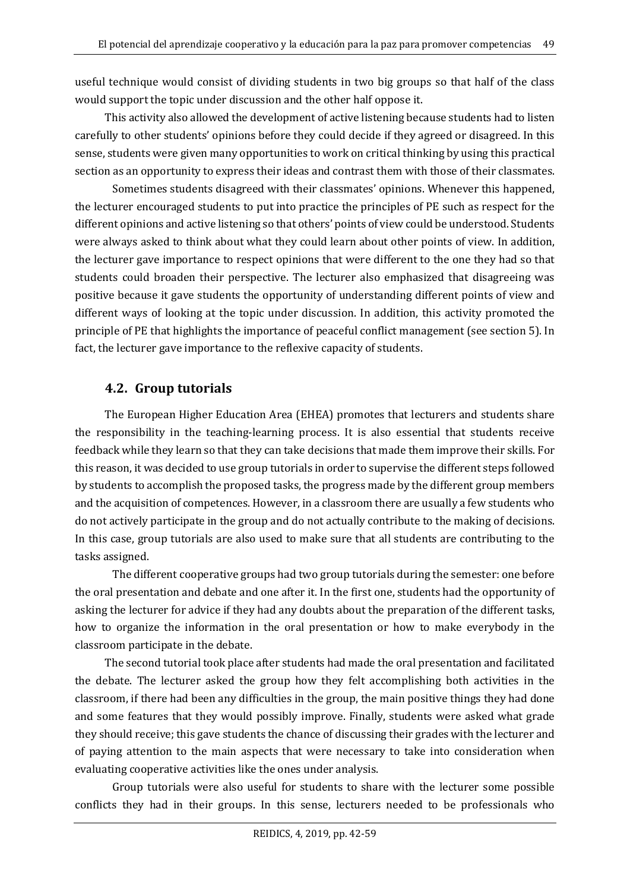useful technique would consist of dividing students in two big groups so that half of the class would support the topic under discussion and the other half oppose it.

This activity also allowed the development of active listening because students had to listen carefully to other students' opinions before they could decide if they agreed or disagreed. In this sense, students were given many opportunities to work on critical thinking by using this practical section as an opportunity to express their ideas and contrast them with those of their classmates.

Sometimes students disagreed with their classmates' opinions. Whenever this happened, the lecturer encouraged students to put into practice the principles of PE such as respect for the different opinions and active listening so that others' points of view could be understood. Students were always asked to think about what they could learn about other points of view. In addition, the lecturer gave importance to respect opinions that were different to the one they had so that students could broaden their perspective. The lecturer also emphasized that disagreeing was positive because it gave students the opportunity of understanding different points of view and different ways of looking at the topic under discussion. In addition, this activity promoted the principle of PE that highlights the importance of peaceful conflict management (see section 5). In fact, the lecturer gave importance to the reflexive capacity of students.

# **4.2. Group tutorials**

The European Higher Education Area (EHEA) promotes that lecturers and students share the responsibility in the teaching-learning process. It is also essential that students receive feedback while they learn so that they can take decisions that made them improve their skills. For this reason, it was decided to use group tutorials in order to supervise the different steps followed by students to accomplish the proposed tasks, the progress made by the different group members and the acquisition of competences. However, in a classroom there are usually a few students who do not actively participate in the group and do not actually contribute to the making of decisions. In this case, group tutorials are also used to make sure that all students are contributing to the tasks assigned.

The different cooperative groups had two group tutorials during the semester: one before the oral presentation and debate and one after it. In the first one, students had the opportunity of asking the lecturer for advice if they had any doubts about the preparation of the different tasks, how to organize the information in the oral presentation or how to make everybody in the classroom participate in the debate.

The second tutorial took place after students had made the oral presentation and facilitated the debate. The lecturer asked the group how they felt accomplishing both activities in the classroom, if there had been any difficulties in the group, the main positive things they had done and some features that they would possibly improve. Finally, students were asked what grade they should receive; this gave students the chance of discussing their grades with the lecturer and of paying attention to the main aspects that were necessary to take into consideration when evaluating cooperative activities like the ones under analysis.

Group tutorials were also useful for students to share with the lecturer some possible conflicts they had in their groups. In this sense, lecturers needed to be professionals who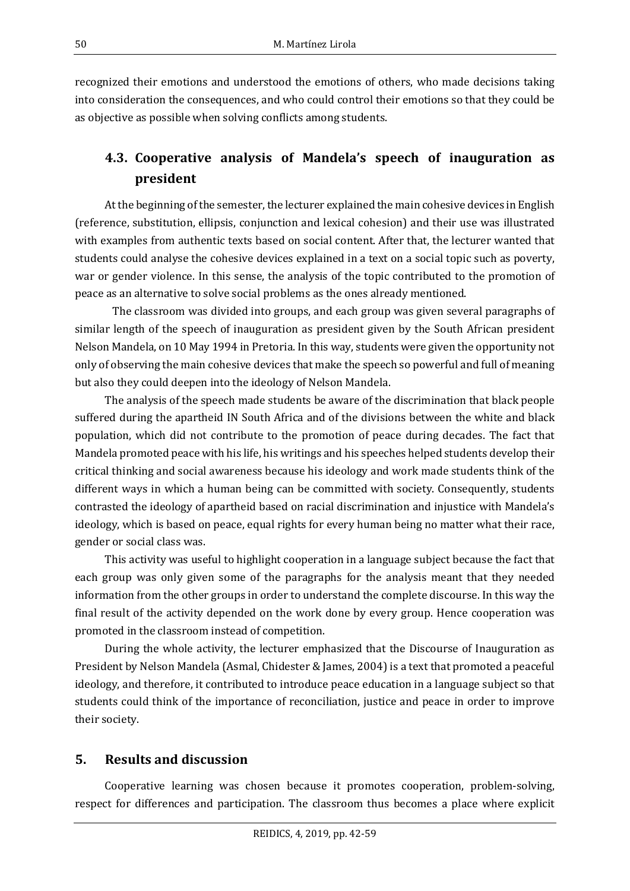recognized their emotions and understood the emotions of others, who made decisions taking into consideration the consequences, and who could control their emotions so that they could be as objective as possible when solving conflicts among students.

# **4.3. Cooperative analysis of Mandela's speech of inauguration as president**

At the beginning of the semester, the lecturer explained the main cohesive devices in English (reference, substitution, ellipsis, conjunction and lexical cohesion) and their use was illustrated with examples from authentic texts based on social content. After that, the lecturer wanted that students could analyse the cohesive devices explained in a text on a social topic such as poverty, war or gender violence. In this sense, the analysis of the topic contributed to the promotion of peace as an alternative to solve social problems as the ones already mentioned.

The classroom was divided into groups, and each group was given several paragraphs of similar length of the speech of inauguration as president given by the South African president Nelson Mandela, on 10 May 1994 in Pretoria. In this way, students were given the opportunity not only of observing the main cohesive devices that make the speech so powerful and full of meaning but also they could deepen into the ideology of Nelson Mandela.

The analysis of the speech made students be aware of the discrimination that black people suffered during the apartheid IN South Africa and of the divisions between the white and black population, which did not contribute to the promotion of peace during decades. The fact that Mandela promoted peace with his life, his writings and his speeches helped students develop their critical thinking and social awareness because his ideology and work made students think of the different ways in which a human being can be committed with society. Consequently, students contrasted the ideology of apartheid based on racial discrimination and injustice with Mandela's ideology, which is based on peace, equal rights for every human being no matter what their race, gender or social class was.

This activity was useful to highlight cooperation in a language subject because the fact that each group was only given some of the paragraphs for the analysis meant that they needed information from the other groups in order to understand the complete discourse. In this way the final result of the activity depended on the work done by every group. Hence cooperation was promoted in the classroom instead of competition.

During the whole activity, the lecturer emphasized that the Discourse of Inauguration as President by Nelson Mandela (Asmal, Chidester & James, 2004) is a text that promoted a peaceful ideology, and therefore, it contributed to introduce peace education in a language subject so that students could think of the importance of reconciliation, justice and peace in order to improve their society.

## **5. Results and discussion**

Cooperative learning was chosen because it promotes cooperation, problem-solving, respect for differences and participation. The classroom thus becomes a place where explicit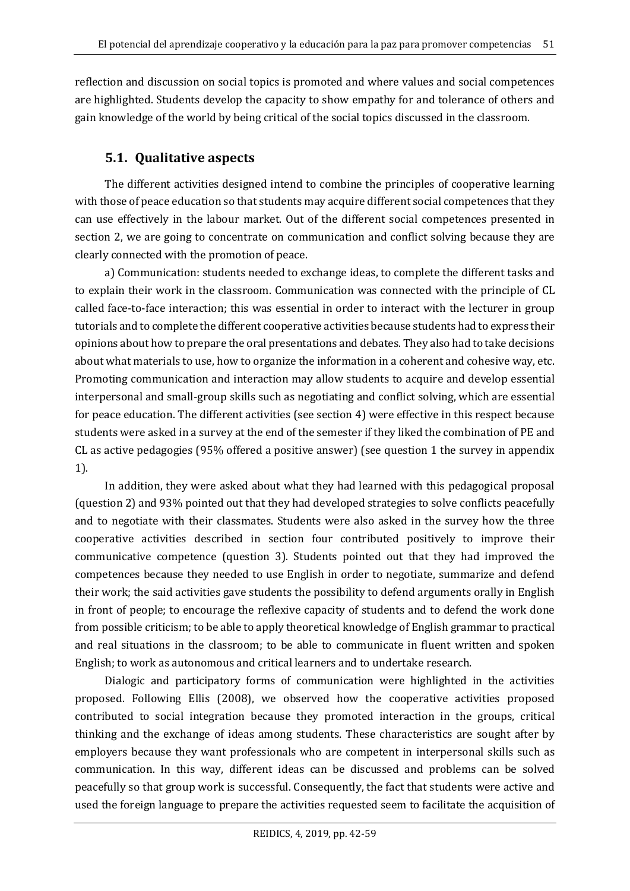reflection and discussion on social topics is promoted and where values and social competences are highlighted. Students develop the capacity to show empathy for and tolerance of others and gain knowledge of the world by being critical of the social topics discussed in the classroom.

## **5.1. Qualitative aspects**

The different activities designed intend to combine the principles of cooperative learning with those of peace education so that students may acquire different social competences that they can use effectively in the labour market. Out of the different social competences presented in section 2, we are going to concentrate on communication and conflict solving because they are clearly connected with the promotion of peace.

a) Communication: students needed to exchange ideas, to complete the different tasks and to explain their work in the classroom. Communication was connected with the principle of CL called face-to-face interaction; this was essential in order to interact with the lecturer in group tutorials and to complete the different cooperative activities because students had to express their opinions about how to prepare the oral presentations and debates. They also had to take decisions about what materials to use, how to organize the information in a coherent and cohesive way, etc. Promoting communication and interaction may allow students to acquire and develop essential interpersonal and small-group skills such as negotiating and conflict solving, which are essential for peace education. The different activities (see section 4) were effective in this respect because students were asked in a survey at the end of the semester if they liked the combination of PE and CL as active pedagogies (95% offered a positive answer) (see question 1 the survey in appendix 1).

In addition, they were asked about what they had learned with this pedagogical proposal (question 2) and 93% pointed out that they had developed strategies to solve conflicts peacefully and to negotiate with their classmates. Students were also asked in the survey how the three cooperative activities described in section four contributed positively to improve their communicative competence (question 3). Students pointed out that they had improved the competences because they needed to use English in order to negotiate, summarize and defend their work; the said activities gave students the possibility to defend arguments orally in English in front of people; to encourage the reflexive capacity of students and to defend the work done from possible criticism; to be able to apply theoretical knowledge of English grammar to practical and real situations in the classroom; to be able to communicate in fluent written and spoken English; to work as autonomous and critical learners and to undertake research.

Dialogic and participatory forms of communication were highlighted in the activities proposed. Following Ellis (2008), we observed how the cooperative activities proposed contributed to social integration because they promoted interaction in the groups, critical thinking and the exchange of ideas among students. These characteristics are sought after by employers because they want professionals who are competent in interpersonal skills such as communication. In this way, different ideas can be discussed and problems can be solved peacefully so that group work is successful. Consequently, the fact that students were active and used the foreign language to prepare the activities requested seem to facilitate the acquisition of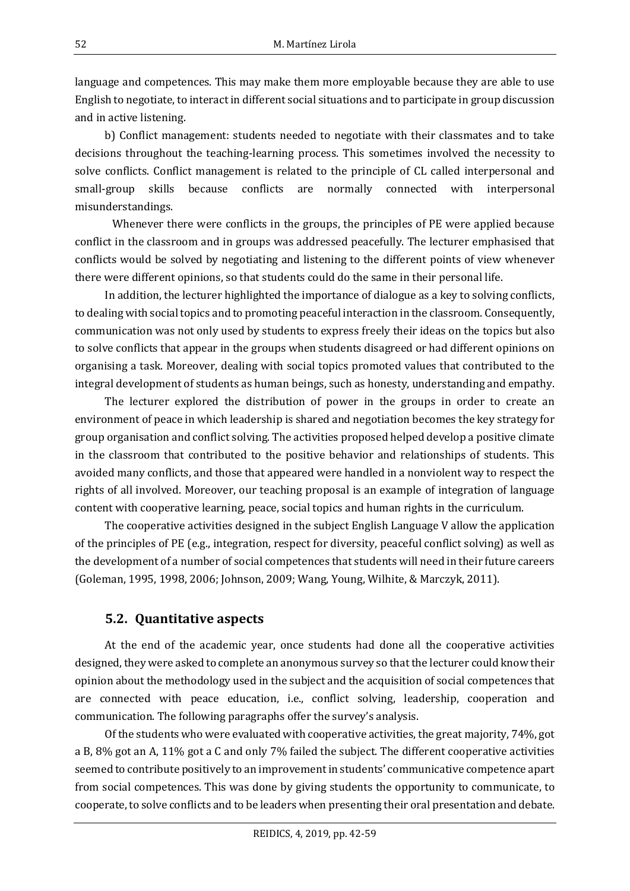language and competences. This may make them more employable because they are able to use English to negotiate, to interact in different social situations and to participate in group discussion and in active listening.

b) Conflict management: students needed to negotiate with their classmates and to take decisions throughout the teaching-learning process. This sometimes involved the necessity to solve conflicts. Conflict management is related to the principle of CL called interpersonal and small-group skills because conflicts are normally connected with interpersonal misunderstandings.

Whenever there were conflicts in the groups, the principles of PE were applied because conflict in the classroom and in groups was addressed peacefully. The lecturer emphasised that conflicts would be solved by negotiating and listening to the different points of view whenever there were different opinions, so that students could do the same in their personal life.

In addition, the lecturer highlighted the importance of dialogue as a key to solving conflicts, to dealing with social topics and to promoting peaceful interaction in the classroom. Consequently, communication was not only used by students to express freely their ideas on the topics but also to solve conflicts that appear in the groups when students disagreed or had different opinions on organising a task. Moreover, dealing with social topics promoted values that contributed to the integral development of students as human beings, such as honesty, understanding and empathy.

The lecturer explored the distribution of power in the groups in order to create an environment of peace in which leadership is shared and negotiation becomes the key strategy for group organisation and conflict solving. The activities proposed helped develop a positive climate in the classroom that contributed to the positive behavior and relationships of students. This avoided many conflicts, and those that appeared were handled in a nonviolent way to respect the rights of all involved. Moreover, our teaching proposal is an example of integration of language content with cooperative learning, peace, social topics and human rights in the curriculum.

The cooperative activities designed in the subject English Language V allow the application of the principles of PE (e.g., integration, respect for diversity, peaceful conflict solving) as well as the development of a number of social competences that students will need in their future careers (Goleman, 1995, 1998, 2006; Johnson, 2009; Wang, Young, Wilhite, & Marczyk, 2011).

#### **5.2. Quantitative aspects**

At the end of the academic year, once students had done all the cooperative activities designed, they were asked to complete an anonymous survey so that the lecturer could know their opinion about the methodology used in the subject and the acquisition of social competences that are connected with peace education, i.e., conflict solving, leadership, cooperation and communication. The following paragraphs offer the survey's analysis.

Of the students who were evaluated with cooperative activities, the great majority, 74%, got a B, 8% got an A, 11% got a C and only 7% failed the subject. The different cooperative activities seemed to contribute positively to an improvement in students' communicative competence apart from social competences. This was done by giving students the opportunity to communicate, to cooperate, to solve conflicts and to be leaders when presenting their oral presentation and debate.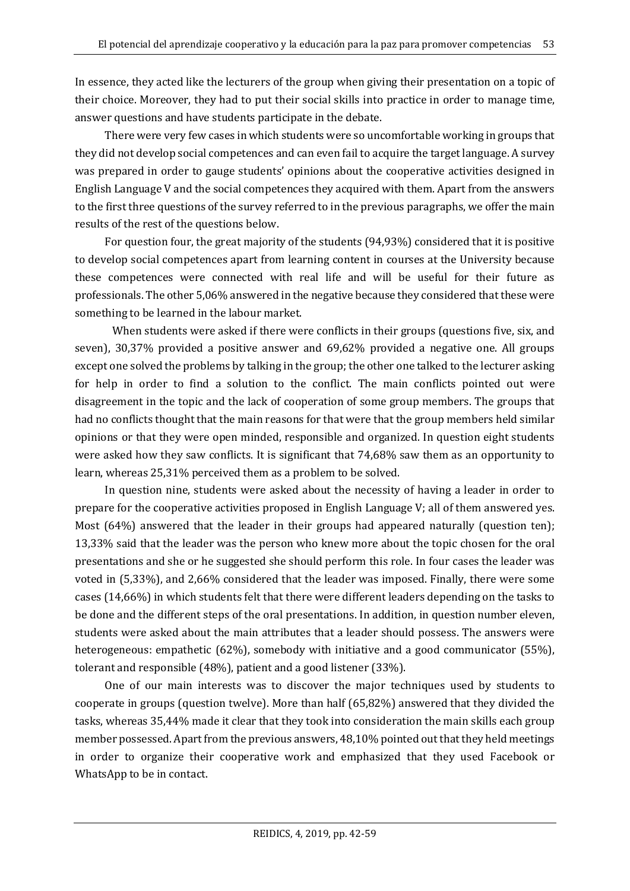In essence, they acted like the lecturers of the group when giving their presentation on a topic of their choice. Moreover, they had to put their social skills into practice in order to manage time, answer questions and have students participate in the debate.

There were very few cases in which students were so uncomfortable working in groups that they did not develop social competences and can even fail to acquire the target language. A survey was prepared in order to gauge students' opinions about the cooperative activities designed in English Language V and the social competences they acquired with them. Apart from the answers to the first three questions of the survey referred to in the previous paragraphs, we offer the main results of the rest of the questions below.

For question four, the great majority of the students (94,93%) considered that it is positive to develop social competences apart from learning content in courses at the University because these competences were connected with real life and will be useful for their future as professionals. The other 5,06% answered in the negative because they considered that these were something to be learned in the labour market.

When students were asked if there were conflicts in their groups (questions five, six, and seven), 30,37% provided a positive answer and 69,62% provided a negative one. All groups except one solved the problems by talking in the group; the other one talked to the lecturer asking for help in order to find a solution to the conflict. The main conflicts pointed out were disagreement in the topic and the lack of cooperation of some group members. The groups that had no conflicts thought that the main reasons for that were that the group members held similar opinions or that they were open minded, responsible and organized. In question eight students were asked how they saw conflicts. It is significant that 74,68% saw them as an opportunity to learn, whereas 25,31% perceived them as a problem to be solved.

In question nine, students were asked about the necessity of having a leader in order to prepare for the cooperative activities proposed in English Language V; all of them answered yes. Most (64%) answered that the leader in their groups had appeared naturally (question ten); 13,33% said that the leader was the person who knew more about the topic chosen for the oral presentations and she or he suggested she should perform this role. In four cases the leader was voted in (5,33%), and 2,66% considered that the leader was imposed. Finally, there were some cases (14,66%) in which students felt that there were different leaders depending on the tasks to be done and the different steps of the oral presentations. In addition, in question number eleven, students were asked about the main attributes that a leader should possess. The answers were heterogeneous: empathetic (62%), somebody with initiative and a good communicator (55%), tolerant and responsible (48%), patient and a good listener (33%).

One of our main interests was to discover the major techniques used by students to cooperate in groups (question twelve). More than half (65,82%) answered that they divided the tasks, whereas 35,44% made it clear that they took into consideration the main skills each group member possessed. Apart from the previous answers, 48,10% pointed out that they held meetings in order to organize their cooperative work and emphasized that they used Facebook or WhatsApp to be in contact.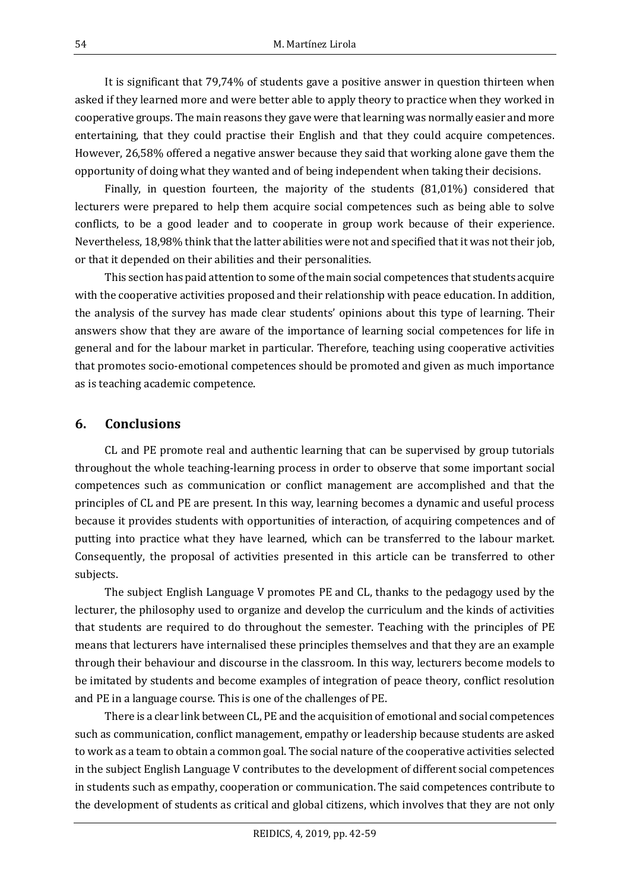It is significant that 79,74% of students gave a positive answer in question thirteen when asked if they learned more and were better able to apply theory to practice when they worked in cooperative groups. The main reasons they gave were that learning was normally easier and more entertaining, that they could practise their English and that they could acquire competences. However, 26,58% offered a negative answer because they said that working alone gave them the opportunity of doing what they wanted and of being independent when taking their decisions.

Finally, in question fourteen, the majority of the students (81,01%) considered that lecturers were prepared to help them acquire social competences such as being able to solve conflicts, to be a good leader and to cooperate in group work because of their experience. Nevertheless, 18,98% think that the latter abilities were not and specified that it was not their job, or that it depended on their abilities and their personalities.

This section has paid attention to some of the main social competences that students acquire with the cooperative activities proposed and their relationship with peace education. In addition, the analysis of the survey has made clear students' opinions about this type of learning. Their answers show that they are aware of the importance of learning social competences for life in general and for the labour market in particular. Therefore, teaching using cooperative activities that promotes socio-emotional competences should be promoted and given as much importance as is teaching academic competence.

#### **6. Conclusions**

CL and PE promote real and authentic learning that can be supervised by group tutorials throughout the whole teaching-learning process in order to observe that some important social competences such as communication or conflict management are accomplished and that the principles of CL and PE are present. In this way, learning becomes a dynamic and useful process because it provides students with opportunities of interaction, of acquiring competences and of putting into practice what they have learned, which can be transferred to the labour market. Consequently, the proposal of activities presented in this article can be transferred to other subjects.

The subject English Language V promotes PE and CL, thanks to the pedagogy used by the lecturer, the philosophy used to organize and develop the curriculum and the kinds of activities that students are required to do throughout the semester. Teaching with the principles of PE means that lecturers have internalised these principles themselves and that they are an example through their behaviour and discourse in the classroom. In this way, lecturers become models to be imitated by students and become examples of integration of peace theory, conflict resolution and PE in a language course. This is one of the challenges of PE.

There is a clear link between CL, PE and the acquisition of emotional and social competences such as communication, conflict management, empathy or leadership because students are asked to work as a team to obtain a common goal. The social nature of the cooperative activities selected in the subject English Language V contributes to the development of different social competences in students such as empathy, cooperation or communication. The said competences contribute to the development of students as critical and global citizens, which involves that they are not only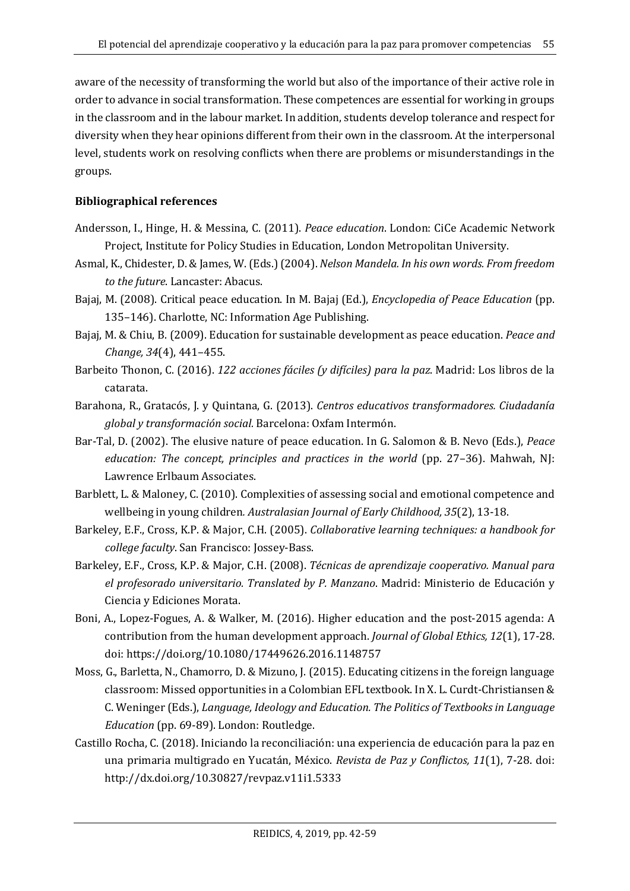aware of the necessity of transforming the world but also of the importance of their active role in order to advance in social transformation. These competences are essential for working in groups in the classroom and in the labour market. In addition, students develop tolerance and respect for diversity when they hear opinions different from their own in the classroom. At the interpersonal level, students work on resolving conflicts when there are problems or misunderstandings in the groups.

#### **Bibliographical references**

- Andersson, I., Hinge, H. & Messina, C. (2011). *Peace education*. London: CiCe Academic Network Project, Institute for Policy Studies in Education, London Metropolitan University.
- Asmal, K., Chidester, D. & James, W. (Eds.) (2004). *Nelson Mandela. In his own words. From freedom to the future*. Lancaster: Abacus.
- Bajaj, M. (2008). Critical peace education. In M. Bajaj (Ed.), *Encyclopedia of Peace Education* (pp. 135–146). Charlotte, NC: Information Age Publishing.
- Bajaj, M. & Chiu, B. (2009). Education for sustainable development as peace education. *Peace and Change, 34*(4), 441–455.
- Barbeito Thonon, C. (2016). *122 acciones fáciles (y difíciles) para la paz*. Madrid: Los libros de la catarata.
- Barahona, R., Gratacós, J. y Quintana, G. (2013). *Centros educativos transformadores. Ciudadanía global y transformación social.* Barcelona: Oxfam Intermón.
- Bar-Tal, D. (2002). The elusive nature of peace education. In G. Salomon & B. Nevo (Eds.), *Peace education: The concept, principles and practices in the world* (pp. 27–36). Mahwah, NJ: Lawrence Erlbaum Associates.
- Barblett, L. & Maloney, C. (2010). Complexities of assessing social and emotional competence and wellbeing in young children*. Australasian Journal of Early Childhood, 35*(2), 13-18.
- Barkeley, E.F., Cross, K.P. & Major, C.H. (2005). *Collaborative learning techniques: a handbook for college faculty*. San Francisco: Jossey-Bass.
- Barkeley, E.F., Cross, K.P. & Major, C.H. (2008). *Técnicas de aprendizaje cooperativo. Manual para el profesorado universitario. Translated by P. Manzano*. Madrid: Ministerio de Educación y Ciencia y Ediciones Morata.
- Boni, A., Lopez-Fogues, A. & Walker, M. (2016). Higher education and the post-2015 agenda: A contribution from the human development approach. *Journal of Global Ethics, 12*(1), 17-28. doi: https://doi.org/10.1080/17449626.2016.1148757
- Moss, G., Barletta, N., Chamorro, D. & Mizuno, J. (2015). Educating citizens in the foreign language classroom: Missed opportunities in a Colombian EFL textbook. In X. L. Curdt-Christiansen & C. Weninger (Eds.), *Language, Ideology and Education. The Politics of Textbooks in Language Education* (pp. 69-89). London: Routledge.
- Castillo Rocha, C. (2018). Iniciando la reconciliación: una experiencia de educación para la paz en una primaria multigrado en Yucatán, México. *Revista de Paz y Conflictos, 11*(1), 7-28. doi: http://dx.doi.org/10.30827/revpaz.v11i1.5333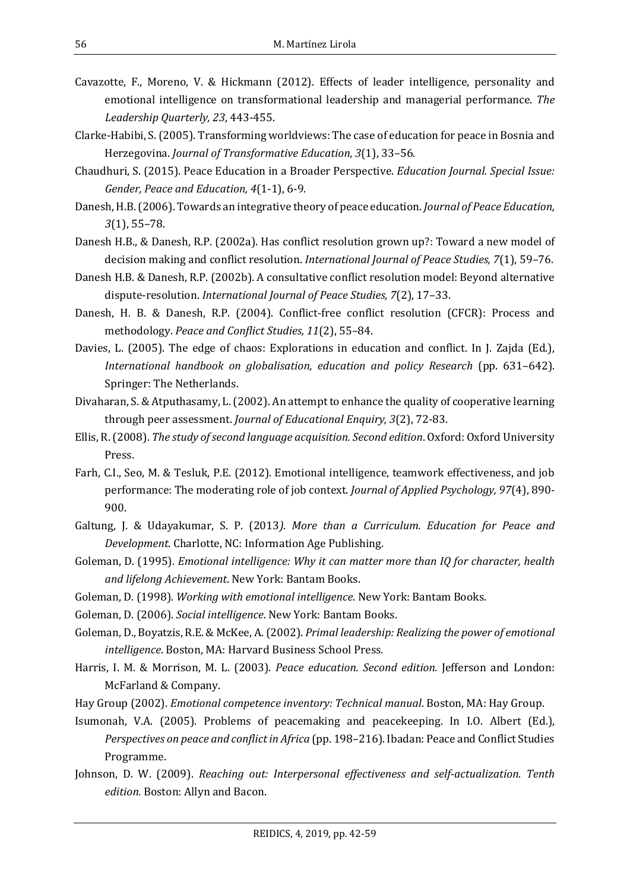- Cavazotte, F., Moreno, V. & Hickmann (2012). Effects of leader intelligence, personality and emotional intelligence on transformational leadership and managerial performance. *The Leadership Quarterly, 23*, 443-455.
- Clarke-Habibi, S. (2005). Transforming worldviews: The case of education for peace in Bosnia and Herzegovina. *Journal of Transformative Education, 3*(1), 33–56.
- Chaudhuri, S. (2015). Peace Education in a Broader Perspective. *Education Journal. Special Issue: Gender, Peace and Education, 4*(1-1), 6-9.
- Danesh, H.B. (2006). Towards an integrative theory of peace education. *Journal of Peace Education, 3*(1), 55–78.
- Danesh H.B., & Danesh, R.P. (2002a). Has conflict resolution grown up?: Toward a new model of decision making and conflict resolution. *International Journal of Peace Studies, 7*(1), 59–76.
- Danesh H.B. & Danesh, R.P. (2002b). A consultative conflict resolution model: Beyond alternative dispute-resolution. *International Journal of Peace Studies, 7*(2), 17–33.
- Danesh, H. B. & Danesh, R.P. (2004). Conflict-free conflict resolution (CFCR): Process and methodology. *Peace and Conflict Studies, 11*(2), 55–84.
- Davies, L. (2005). The edge of chaos: Explorations in education and conflict. In J. Zajda (Ed.), *International handbook on globalisation, education and policy Research* (pp. 631–642). Springer: The Netherlands.
- Divaharan, S. & Atputhasamy, L. (2002). An attempt to enhance the quality of cooperative learning through peer assessment. *Journal of Educational Enquiry, 3*(2), 72-83.
- Ellis, R. (2008). *The study of second language acquisition. Second edition*. Oxford: Oxford University Press.
- Farh, C.I., Seo, M. & Tesluk, P.E. (2012). Emotional intelligence, teamwork effectiveness, and job performance: The moderating role of job context. *Journal of Applied Psychology, 97*(4), 890- 900.
- Galtung, J. & Udayakumar, S. P. (2013*). More than a Curriculum. Education for Peace and Development*. Charlotte, NC: Information Age Publishing.
- Goleman, D. (1995). *Emotional intelligence: Why it can matter more than IQ for character, health and lifelong Achievement*. New York: Bantam Books.
- Goleman, D. (1998). *Working with emotional intelligence*. New York: Bantam Books.
- Goleman, D. (2006). *Social intelligence*. New York: Bantam Books.
- Goleman, D., Boyatzis, R.E. & McKee, A. (2002). *Primal leadership: Realizing the power of emotional intelligence*. Boston, MA: Harvard Business School Press.
- Harris, I. M. & Morrison, M. L. (2003). *Peace education. Second edition.* Jefferson and London: McFarland & Company.
- Hay Group (2002). *Emotional competence inventory: Technical manual*. Boston, MA: Hay Group.
- Isumonah, V.A. (2005). Problems of peacemaking and peacekeeping. In I.O. Albert (Ed.), *Perspectives on peace and conflictin Africa* (pp. 198–216). Ibadan: Peace and Conflict Studies Programme.
- Johnson, D. W. (2009). *Reaching out: Interpersonal effectiveness and self-actualization. Tenth edition.* Boston: Allyn and Bacon.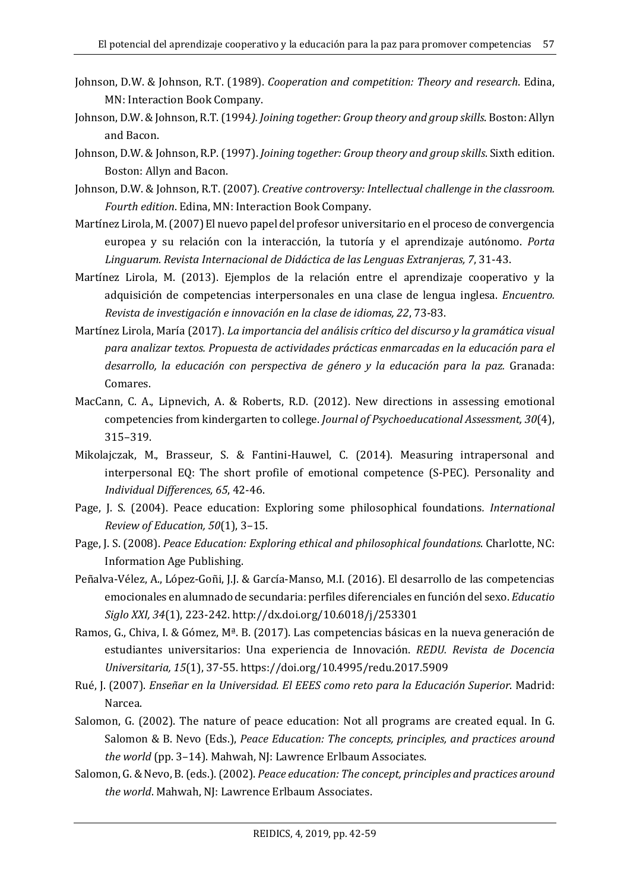- Johnson, D.W. & Johnson, R.T. (1989). *Cooperation and competition: Theory and research*. Edina, MN: Interaction Book Company.
- Johnson, D.W. & Johnson, R.T. (1994*). Joining together: Group theory and group skills*. Boston: Allyn and Bacon.
- Johnson, D.W. & Johnson, R.P. (1997). *Joining together: Group theory and group skills*. Sixth edition. Boston: Allyn and Bacon.
- Johnson, D.W. & Johnson, R.T. (2007). *Creative controversy: Intellectual challenge in the classroom. Fourth edition*. Edina, MN: Interaction Book Company.
- Martínez Lirola, M. (2007) El nuevo papel del profesor universitario en el proceso de convergencia europea y su relación con la interacción, la tutoría y el aprendizaje autónomo. *Porta Linguarum. Revista Internacional de Didáctica de las Lenguas Extranjeras, 7*, 31-43.
- Martínez Lirola, M. (2013). Ejemplos de la relación entre el aprendizaje cooperativo y la adquisición de competencias interpersonales en una clase de lengua inglesa. *Encuentro. Revista de investigación e innovación en la clase de idiomas, 22*, 73-83.
- Martínez Lirola, María (2017). *La importancia del análisis crítico del discurso y la gramática visual para analizar textos. Propuesta de actividades prácticas enmarcadas en la educación para el desarrollo, la educación con perspectiva de género y la educación para la paz.* Granada: Comares.
- MacCann, C. A., Lipnevich, A. & Roberts, R.D. (2012). New directions in assessing emotional competencies from kindergarten to college. *Journal of Psychoeducational Assessment, 30*(4), 315–319.
- Mikolajczak, M., Brasseur, S. & Fantini-Hauwel, C. (2014). Measuring intrapersonal and interpersonal EQ: The short profile of emotional competence (S-PEC). Personality and *Individual Differences, 65*, 42-46.
- Page, J. S. (2004). Peace education: Exploring some philosophical foundations*. International Review of Education, 50*(1), 3–15.
- Page, J. S. (2008). *Peace Education: Exploring ethical and philosophical foundations*. Charlotte, NC: Information Age Publishing.
- Peñalva-Vélez, A., López-Goñi, J.J. & García-Manso, M.I. (2016). El desarrollo de las competencias emocionales en alumnado de secundaria: perfiles diferenciales en función del sexo. *Educatio Siglo XXI, 34*(1), 223-242. http://dx.doi.org/10.6018/j/253301
- Ramos, G., Chiva, I. & Gómez, Mª. B. (2017). Las competencias básicas en la nueva generación de estudiantes universitarios: Una experiencia de Innovación. *REDU. Revista de Docencia Universitaria, 15*(1), 37-55. https://doi.org/10.4995/redu.2017.5909
- Rué, J. (2007). *Enseñar en la Universidad. El EEES como reto para la Educación Superior*. Madrid: Narcea.
- Salomon, G. (2002). The nature of peace education: Not all programs are created equal. In G. Salomon & B. Nevo (Eds.), *Peace Education: The concepts, principles, and practices around the world* (pp. 3–14). Mahwah, NJ: Lawrence Erlbaum Associates.
- Salomon, G. & Nevo, B. (eds.). (2002). *Peace education: The concept, principles and practices around the world*. Mahwah, NJ: Lawrence Erlbaum Associates.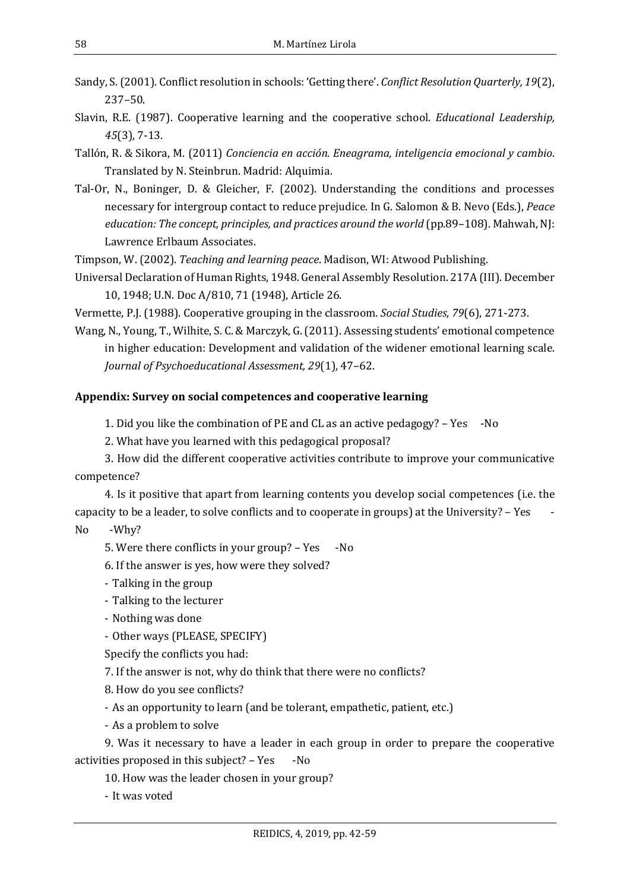Sandy, S. (2001). Conflict resolution in schools: 'Getting there'. *Conflict Resolution Quarterly, 19*(2), 237–50.

- Slavin, R.E. (1987). Cooperative learning and the cooperative school. *Educational Leadership, 45*(3), 7-13.
- Tallón, R. & Sikora, M. (2011) *Conciencia en acción. Eneagrama, inteligencia emocional y cambio*. Translated by N. Steinbrun. Madrid: Alquimia.
- Tal-Or, N., Boninger, D. & Gleicher, F. (2002). Understanding the conditions and processes necessary for intergroup contact to reduce prejudice. In G. Salomon & B. Nevo (Eds.), *Peace education: The concept, principles, and practices around the world* (pp.89–108). Mahwah, NJ: Lawrence Erlbaum Associates.

Timpson, W. (2002). *Teaching and learning peace*. Madison, WI: Atwood Publishing.

Universal Declaration of Human Rights, 1948. General Assembly Resolution. 217A (III). December 10, 1948; U.N. Doc A/810, 71 (1948), Article 26.

Vermette, P.J. (1988). Cooperative grouping in the classroom*. Social Studies, 79*(6), 271-273.

Wang, N., Young, T., Wilhite, S. C. & Marczyk, G. (2011). Assessing students' emotional competence in higher education: Development and validation of the widener emotional learning scale. *Journal of Psychoeducational Assessment, 29*(1), 47–62.

#### **Appendix: Survey on social competences and cooperative learning**

1. Did you like the combination of PE and CL as an active pedagogy? – Yes -No

2. What have you learned with this pedagogical proposal?

3. How did the different cooperative activities contribute to improve your communicative competence?

4. Is it positive that apart from learning contents you develop social competences (i.e. the capacity to be a leader, to solve conflicts and to cooperate in groups) at the University? – Yes -

No -Why?

5. Were there conflicts in your group? – Yes -No

6. If the answer is yes, how were they solved?

- Talking in the group
- Talking to the lecturer
- Nothing was done
- Other ways (PLEASE, SPECIFY)

Specify the conflicts you had:

7. If the answer is not, why do think that there were no conflicts?

8. How do you see conflicts?

- As an opportunity to learn (and be tolerant, empathetic, patient, etc.)

- As a problem to solve

9. Was it necessary to have a leader in each group in order to prepare the cooperative activities proposed in this subject? – Yes -No

10. How was the leader chosen in your group?

- It was voted